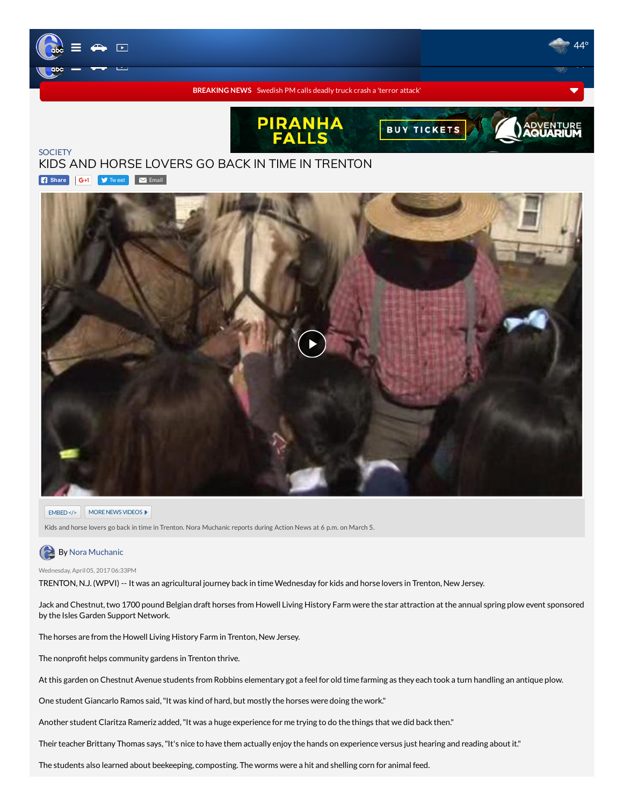

G+1 **T**w[eet](https://twitter.com/intent/tweet?original_referer=http%3A%2F%2F6abc.com%2Fsociety%2Fkids-and-horse-lovers-go-back-in-time-in-trenton%2F1839633%2F&ref_src=twsrc%5Etfw&related=6abc&text=Kids%20and%20horse%20lovers%20go%20back%20in%20time%20in%20Trenton&tw_p=tweetbutton&url=http%3A%2F%2F6abc.com%2F1839633%2F&via=6abc) M[Email](mailto:?subject=Kids%20and%20horse%20lovers%20go%20back%20in%20time%20in%20Trenton&body=It%20was%20an%20agricultural%20journey%20back%20in%20time%20Wednesday%20for%20kids%20and%20horse%20lovers%20in%20Trenton,%20New%20Jersey.%20-%20http://6abc.com/1839633/) **[SOCIETY](http://6abc.com/topic/society/)** KIDS AND HORSE LOVERS GO BACK IN TIME IN TRENTON **B** [Share](https://www.facebook.com/sharer/sharer.php?app_id=2022478634557698&sdk=joey&u=http%3A%2F%2F6abc.com%2Fsociety%2Fkids-and-horse-lovers-go-back-in-time-in-trenton%2F1839633%2Fhttp%253A%252F%252F6abc.com%252F1839633%252F&display=popup&ref=plugin&src=share_button)



## EMBED </> MORE NEWS VIDEOS ▶

Kids and horse lovers go back in time in Trenton. Nora Muchanic reports during Action News at 6 p.m. on March 5.

## **By Nora [Muchanic](http://6abc.com/about/newsteam/nora-muchanic)**

Wednesday, April 05, 2017 06:33PM

TRENTON, N.J. (WPVI) -- It was an agricultural journey back in timeWednesday for kids and horse lovers in Trenton, New Jersey.

Jack and Chestnut, two 1700 pound Belgian draft horses from Howell Living History Farm were the star attraction at the annual spring plow event sponsored by the Isles Garden Support Network.

The horses are from the Howell Living History Farm in Trenton, New Jersey.

The nonprofit helps community gardens in Trenton thrive.

At this garden on Chestnut Avenue students from Robbins elementary got a feel for old time farming as they each took a turn handling an antique plow.

One student Giancarlo Ramos said,"It was kind of hard, but mostly the horses were doing the work."

Another student Claritza Rameriz added,"It was a huge experience for me trying to do the things that we did back then."

Their teacher Brittany Thomas says, "It's nice to have them actually enjoy the hands on experience versus just hearing and reading about it."

The students also learned about beekeeping, composting. The worms were a hit and shelling corn for animal feed.